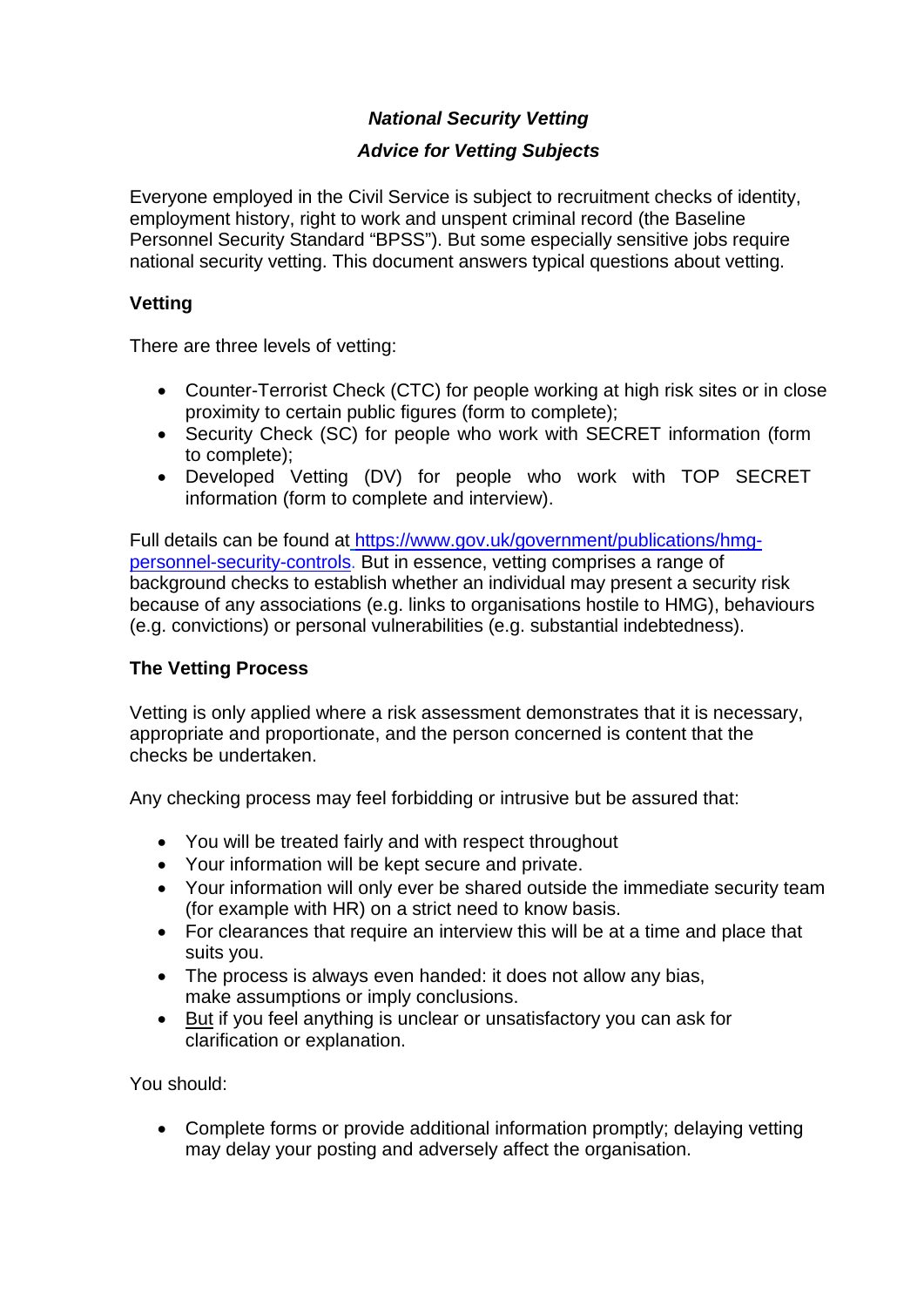# *National Security Vetting*

# *Advice for Vetting Subjects*

Everyone employed in the Civil Service is subject to recruitment checks of identity, employment history, right to work and unspent criminal record (the Baseline Personnel Security Standard "BPSS"). But some especially sensitive jobs require national security vetting. This document answers typical questions about vetting.

# **Vetting**

There are three levels of vetting:

- Counter-Terrorist Check (CTC) for people working at high risk sites or in close proximity to certain public figures (form to complete);
- Security Check (SC) for people who work with SECRET information (form to complete);
- Developed Vetting (DV) for people who work with TOP SECRET information (form to complete and interview).

[Full details can be found at](https://www.gov.uk/government/publications/hmg-personnel-security-controls) [https://www.gov.uk/government/publications/hmg](https://www.gov.uk/government/publications/hmg-personnel-security-controls)personnel-security-controls. But in essence, vetting comprises a range of background checks to establish whether an individual may present a security risk because of any associations (e.g. links to organisations hostile to HMG), behaviours (e.g. convictions) or personal vulnerabilities (e.g. substantial indebtedness).

# **The Vetting Process**

Vetting is only applied where a risk assessment demonstrates that it is necessary, appropriate and proportionate, and the person concerned is content that the checks be undertaken.

Any checking process may feel forbidding or intrusive but be assured that:

- You will be treated fairly and with respect throughout
- Your information will be kept secure and private.
- Your information will only ever be shared outside the immediate security team (for example with HR) on a strict need to know basis.
- For clearances that require an interview this will be at a time and place that suits you.
- The process is always even handed: it does not allow any bias, make assumptions or imply conclusions.
- But if you feel anything is unclear or unsatisfactory you can ask for clarification or explanation.

You should:

• Complete forms or provide additional information promptly; delaying vetting may delay your posting and adversely affect the organisation.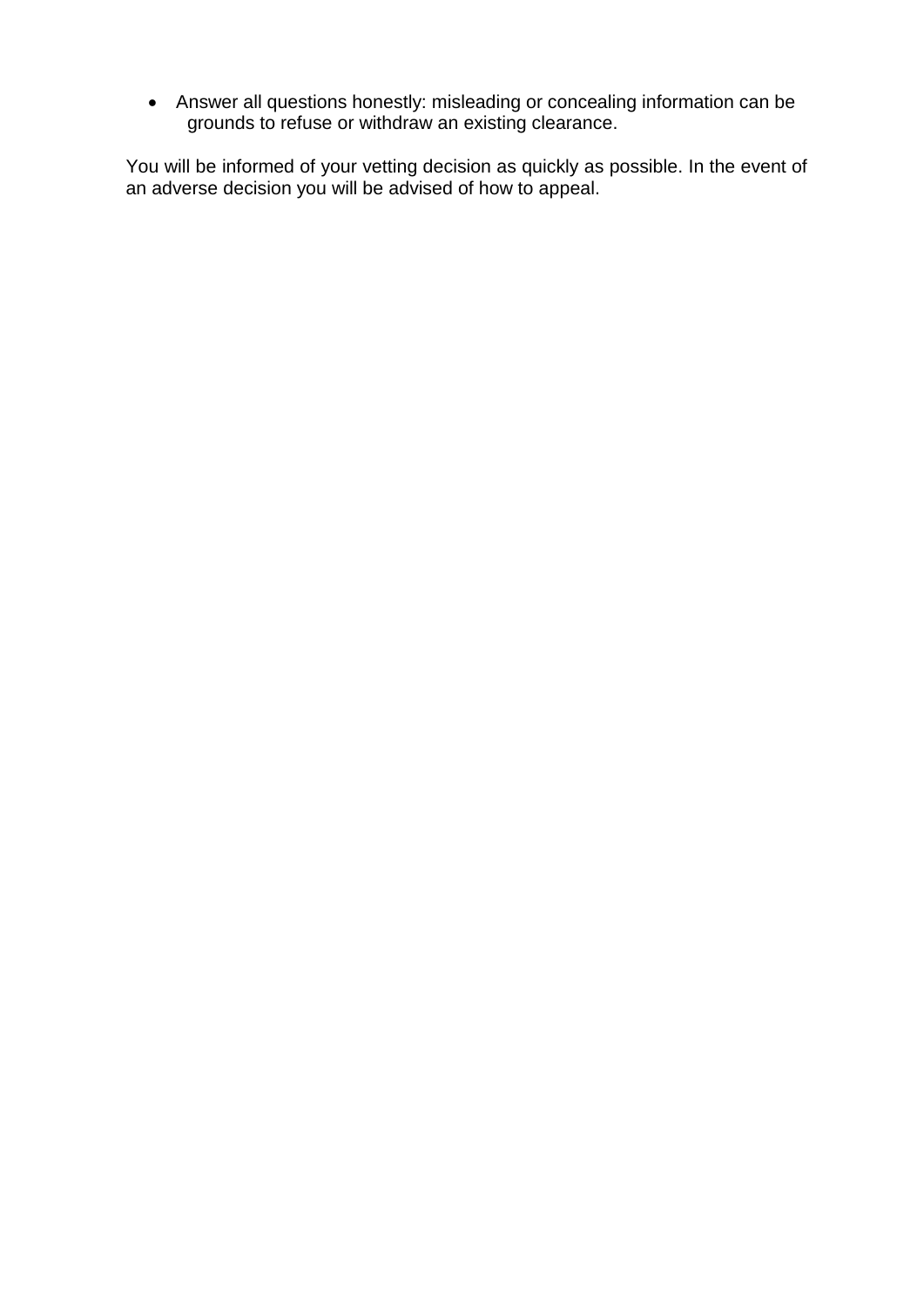• Answer all questions honestly: misleading or concealing information can be grounds to refuse or withdraw an existing clearance.

You will be informed of your vetting decision as quickly as possible. In the event of an adverse decision you will be advised of how to appeal.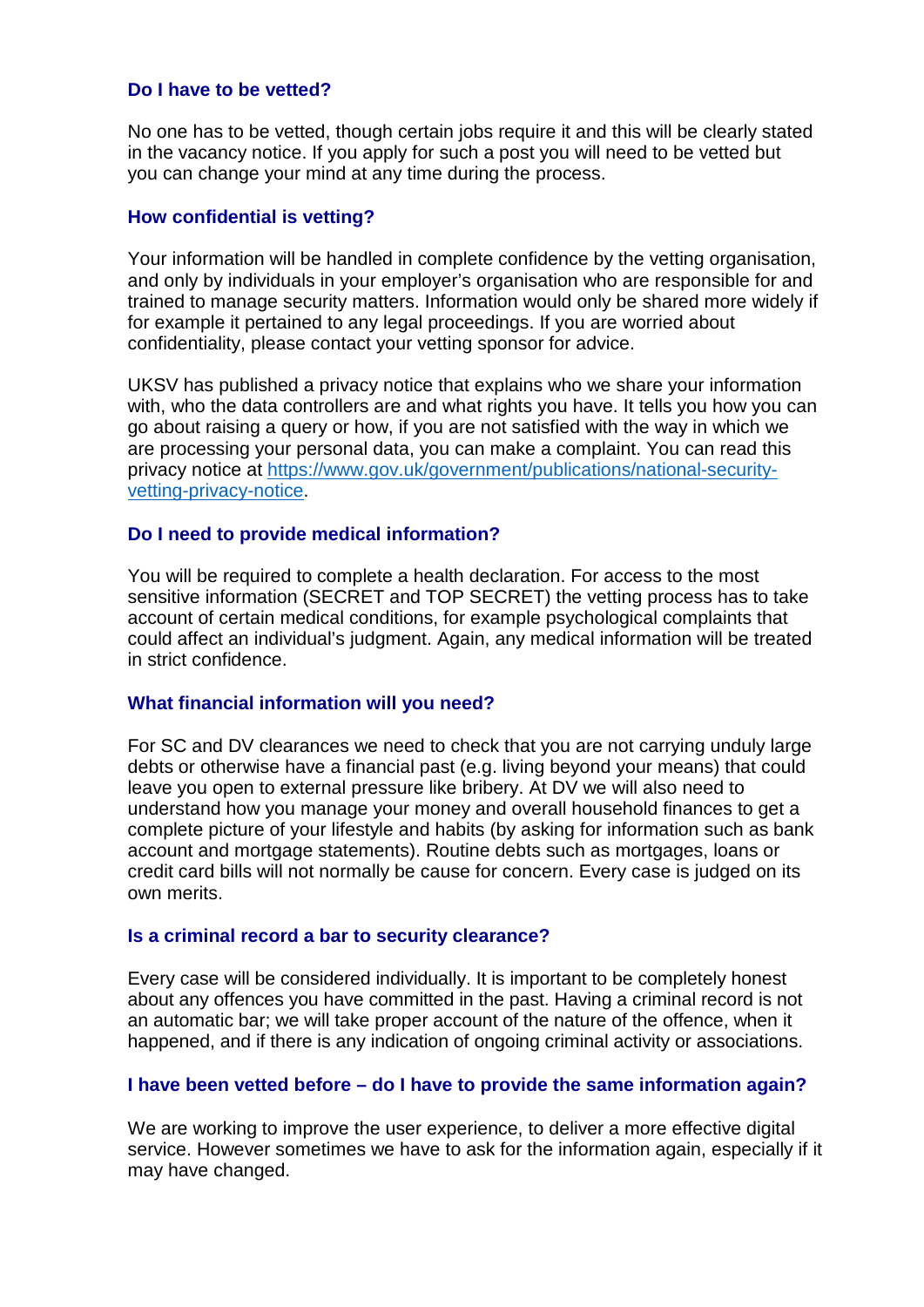### **Do I have to be vetted?**

No one has to be vetted, though certain jobs require it and this will be clearly stated in the vacancy notice. If you apply for such a post you will need to be vetted but you can change your mind at any time during the process.

### **How confidential is vetting?**

Your information will be handled in complete confidence by the vetting organisation, and only by individuals in your employer's organisation who are responsible for and trained to manage security matters. Information would only be shared more widely if for example it pertained to any legal proceedings. If you are worried about confidentiality, please contact your vetting sponsor for advice.

UKSV has published a privacy notice that explains who we share your information with, who the data controllers are and what rights you have. It tells you how you can go about raising a query or how, if you are not satisfied with the way in which we are processing y[our personal data, you can make a complaint. You can read this](https://www.gov.uk/government/publications/national-security-vetting-privacy-notice) [privacy notice at https:/](https://www.gov.uk/government/publications/national-security-vetting-privacy-notice)/www.gov.uk/government/publications/national-securityvetting-privacy-notice.

#### **Do I need to provide medical information?**

You will be required to complete a health declaration. For access to the most sensitive information (SECRET and TOP SECRET) the vetting process has to take account of certain medical conditions, for example psychological complaints that could affect an individual's judgment. Again, any medical information will be treated in strict confidence.

#### **What financial information will you need?**

For SC and DV clearances we need to check that you are not carrying unduly large debts or otherwise have a financial past (e.g. living beyond your means) that could leave you open to external pressure like bribery. At DV we will also need to understand how you manage your money and overall household finances to get a complete picture of your lifestyle and habits (by asking for information such as bank account and mortgage statements). Routine debts such as mortgages, loans or credit card bills will not normally be cause for concern. Every case is judged on its own merits.

#### **Is a criminal record a bar to security clearance?**

Every case will be considered individually. It is important to be completely honest about any offences you have committed in the past. Having a criminal record is not an automatic bar; we will take proper account of the nature of the offence, when it happened, and if there is any indication of ongoing criminal activity or associations.

### **I have been vetted before – do I have to provide the same information again?**

We are working to improve the user experience, to deliver a more effective digital service. However sometimes we have to ask for the information again, especially if it may have changed.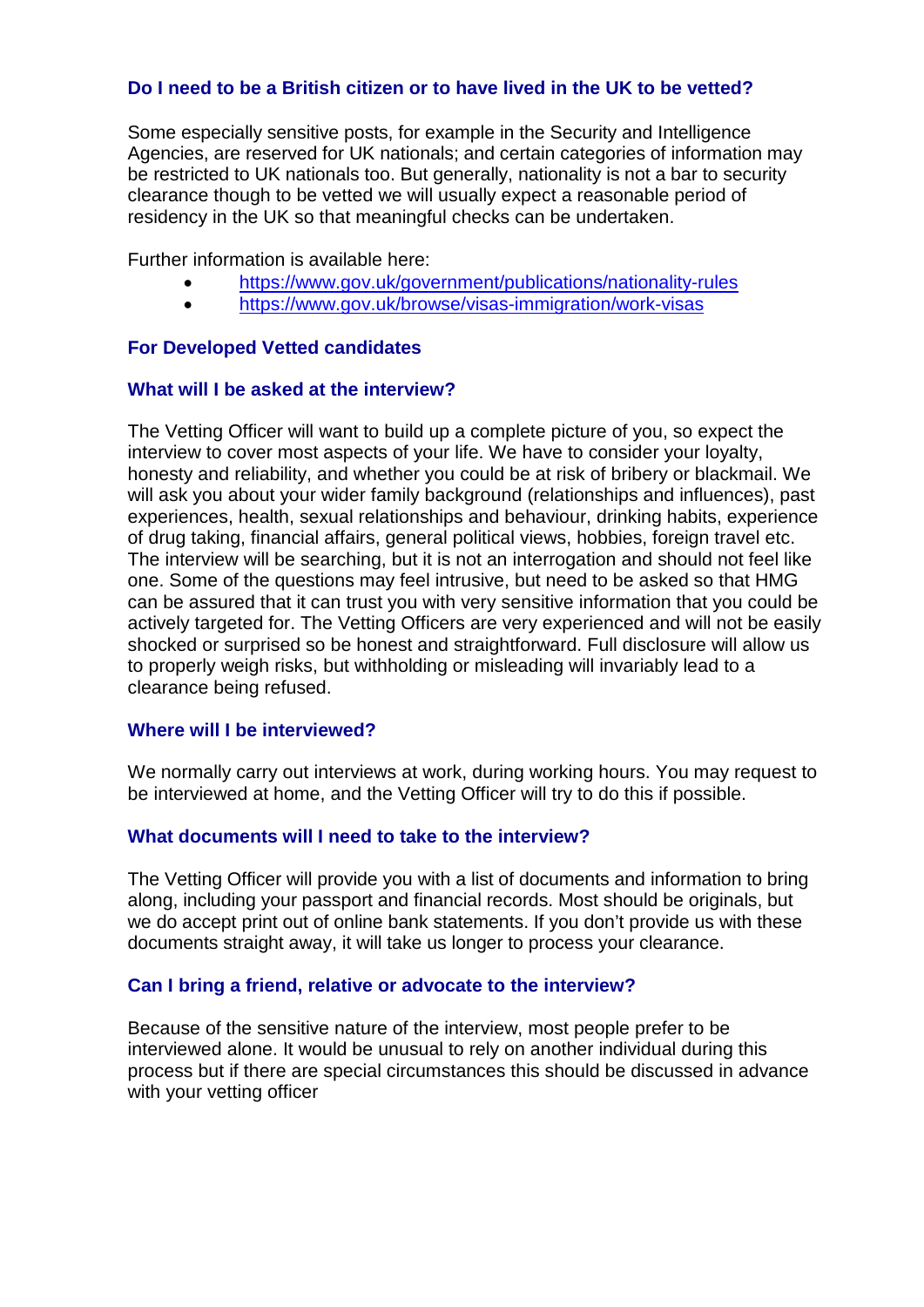## **Do I need to be a British citizen or to have lived in the UK to be vetted?**

Some especially sensitive posts, for example in the Security and Intelligence Agencies, are reserved for UK nationals; and certain categories of information may be restricted to UK nationals too. But generally, nationality is not a bar to security clearance though to be vetted we will usually expect a reasonable period of residency in the UK so that meaningful checks can be undertaken.

Further information is available here:

- <https://www.gov.uk/government/publications/nationality-rules>
- <https://www.gov.uk/browse/visas-immigration/work-visas>

## **For Developed Vetted candidates**

## **What will I be asked at the interview?**

The Vetting Officer will want to build up a complete picture of you, so expect the interview to cover most aspects of your life. We have to consider your loyalty, honesty and reliability, and whether you could be at risk of bribery or blackmail. We will ask you about your wider family background (relationships and influences), past experiences, health, sexual relationships and behaviour, drinking habits, experience of drug taking, financial affairs, general political views, hobbies, foreign travel etc. The interview will be searching, but it is not an interrogation and should not feel like one. Some of the questions may feel intrusive, but need to be asked so that HMG can be assured that it can trust you with very sensitive information that you could be actively targeted for. The Vetting Officers are very experienced and will not be easily shocked or surprised so be honest and straightforward. Full disclosure will allow us to properly weigh risks, but withholding or misleading will invariably lead to a clearance being refused.

### **Where will I be interviewed?**

We normally carry out interviews at work, during working hours. You may request to be interviewed at home, and the Vetting Officer will try to do this if possible.

## **What documents will I need to take to the interview?**

The Vetting Officer will provide you with a list of documents and information to bring along, including your passport and financial records. Most should be originals, but we do accept print out of online bank statements. If you don't provide us with these documents straight away, it will take us longer to process your clearance.

## **Can I bring a friend, relative or advocate to the interview?**

Because of the sensitive nature of the interview, most people prefer to be interviewed alone. It would be unusual to rely on another individual during this process but if there are special circumstances this should be discussed in advance with your vetting officer